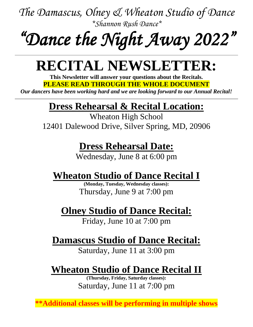# *"Dance the Night Away 2022"*

## **RECITAL NEWSLETTER:**

**This Newsletter will answer your questions about the Recitals. PLEASE READ THROUGH THE WHOLE DOCUMENT**

*Our dancers have been working hard and we are looking forward to our Annual Recital!*

#### **Dress Rehearsal & Recital Location:**

Wheaton High School 12401 Dalewood Drive, Silver Spring, MD, 20906

#### **Dress Rehearsal Date:**

Wednesday, June 8 at 6:00 pm

### **Wheaton Studio of Dance Recital I**

**(Monday, Tuesday, Wednesday classes):** Thursday, June 9 at 7:00 pm

### **Olney Studio of Dance Recital:**

Friday, June 10 at 7:00 pm

### **Damascus Studio of Dance Recital:**

Saturday, June 11 at 3:00 pm

### **Wheaton Studio of Dance Recital II**

**(Thursday, Friday, Saturday classes):** Saturday, June 11 at 7:00 pm

**\*\*Additional classes will be performing in multiple shows**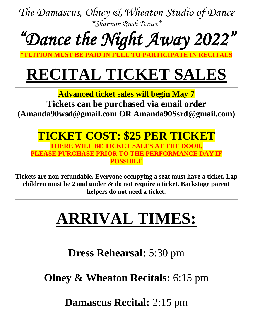*"Dance the Night Away 2022"* 

**\*TUITION MUST BE PAID IN FULL TO PARTICIPATE IN RECITALS**

## **RECITAL TICKET SALES**

**Advanced ticket sales will begin May 7**

**Tickets can be purchased via email order (Amanda90wsd@gmail.com OR Amanda90Ssrd@gmail.com)**

**TICKET COST: \$25 PER TICKET THERE WILL BE TICKET SALES AT THE DOOR, PLEASE PURCHASE PRIOR TO THE PERFORMANCE DAY IF POSSIBLE**

**Tickets are non-refundable. Everyone occupying a seat must have a ticket. Lap children must be 2 and under & do not require a ticket. Backstage parent helpers do not need a ticket.**

## **ARRIVAL TIMES:**

**Dress Rehearsal:** 5:30 pm

**Olney & Wheaton Recitals:** 6:15 pm

**Damascus Recital:** 2:15 pm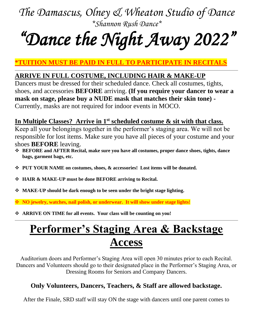## *"Dance the Night Away 2022"*

#### **\*TUITION MUST BE PAID IN FULL TO PARTICIPATE IN RECITALS**

#### **ARRIVE IN FULL COSTUME, INCLUDING HAIR & MAKE-UP**

Dancers must be dressed for their scheduled dance. Check all costumes, tights, shoes, and accessories **BEFORE** arriving. **(If you require your dancer to wear a mask on stage, please buy a NUDE mask that matches their skin tone) -** Currently, masks are not required for indoor events in MOCO.

#### **In Multiple Classes? Arrive in 1st scheduled costume & sit with that class.**

Keep all your belongings together in the performer's staging area. We will not be responsible for lost items. Make sure you have all pieces of your costume and your shoes **BEFORE** leaving.

- ❖ **BEFORE and AFTER Recital, make sure you have all costumes, proper dance shoes, tights, dance bags, garment bags, etc.**
- ❖ **PUT YOUR NAME on costumes, shoes, & accessories! Lost items will be donated.**
- ❖ **HAIR & MAKE-UP must be done BEFORE arriving to Recital.**
- ❖ **MAKE-UP should be dark enough to be seen under the bright stage lighting.**
- ❖ **NO jewelry, watches, nail polish, or underwear. It will show under stage lights!**
- ❖ **ARRIVE ON TIME for all events. Your class will be counting on you!**

## **Performer's Staging Area & Backstage Access**

Auditorium doors and Performer's Staging Area will open 30 minutes prior to each Recital. Dancers and Volunteers should go to their designated place in the Performer's Staging Area, or Dressing Rooms for Seniors and Company Dancers.

#### **Only Volunteers, Dancers, Teachers, & Staff are allowed backstage.**

After the Finale, SRD staff will stay ON the stage with dancers until one parent comes to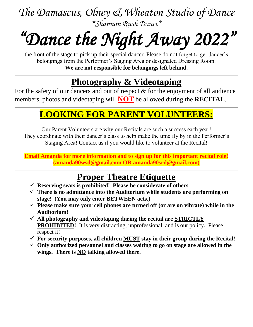# *"Dance the Night Away 2022"*

the front of the stage to pick up their special dancer. Please do not forget to get dancer's belongings from the Performer's Staging Area or designated Dressing Room. **We are not responsible for belongings left behind.**

#### **Photography & Videotaping**

For the safety of our dancers and out of respect & for the enjoyment of all audience members, photos and videotaping will **NOT** be allowed during the **RECITAL**.

#### **LOOKING FOR PARENT VOLUNTEERS:**

Our Parent Volunteers are why our Recitals are such a success each year! They coordinate with their dancer's class to help make the time fly by in the Performer's Staging Area! Contact us if you would like to volunteer at the Recital!

**Email Amanda for more information and to sign up for this important recital role! (amanda90wsd@gmail.com OR amanda90srd@gmail.com)**

#### **Proper Theatre Etiquette**

- ✓ **Reserving seats is prohibited! Please be considerate of others.**
- ✓ **There is no admittance into the Auditorium while students are performing on stage! (You may only enter BETWEEN acts.)**
- $\checkmark$  Please make sure your cell phones are turned off (or are on vibrate) while in the **Auditorium!**
- $\checkmark$  All photography and videotaping during the recital are STRICTLY **PROHIBITED!** It is very distracting, unprofessional, and is our policy. Please respect it!
- $\checkmark$  For security purposes, all children MUST stay in their group during the Recital!
- ✓ **Only authorized personnel and classes waiting to go on stage are allowed in the wings. There is NO talking allowed there.**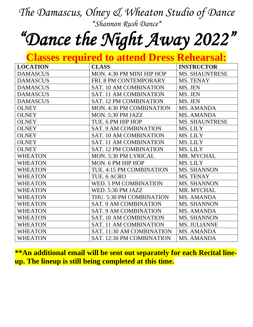## *"Dance the Night Away 2022"*

#### **Classes required to attend Dress Rehearsal:**

| <b>LOCATION</b> | <b>CLASS</b>                    | <b>INSTRUCTOR</b>     |
|-----------------|---------------------------------|-----------------------|
| <b>DAMASCUS</b> | MON. 4:30 PM MINI HIP HOP       | <b>MS. SHAUNTRESE</b> |
| <b>DAMASCUS</b> | FRI. 8 PM CONTEMPORARY          | MS. TENAY             |
| <b>DAMASCUS</b> | <b>SAT. 10 AM COMBINATION</b>   | MS. JEN               |
| <b>DAMASCUS</b> | <b>SAT. 11 AM COMBINATION</b>   | MS. JEN               |
| <b>DAMASCUS</b> | <b>SAT. 12 PM COMBINATION</b>   | MS. JEN               |
| <b>OLNEY</b>    | <b>MON. 4:30 PM COMBINATION</b> | MS. AMANDA            |
| <b>OLNEY</b>    | MON. 5:30 PM JAZZ               | <b>MS. AMANDA</b>     |
| <b>OLNEY</b>    | TUE. 6 PM HIP HOP               | <b>MS. SHAUNTRESE</b> |
| <b>OLNEY</b>    | <b>SAT. 9 AM COMBINATION</b>    | MS. LILY              |
| <b>OLNEY</b>    | <b>SAT. 10 AM COMBINATION</b>   | MS. LILY              |
| <b>OLNEY</b>    | <b>SAT. 11 AM COMBINATION</b>   | MS. LILY              |
| <b>OLNEY</b>    | <b>SAT. 12 PM COMBINATION</b>   | MS. LILY              |
| <b>WHEATON</b>  | <b>MON. 5:30 PM LYRICAL</b>     | MR. MYCHAL            |
| <b>WHEATON</b>  | MON. 6 PM HIP HOP               | MS. LILY              |
| <b>WHEATON</b>  | TUE. 4:15 PM COMBINATION        | <b>MS. SHANNON</b>    |
| <b>WHEATON</b>  | TUE. 6 ACRO                     | MS. TENAY             |
| <b>WHEATON</b>  | WED. 5 PM COMBINATION           | <b>MS. SHANNON</b>    |
| <b>WHEATON</b>  | WED. 5:30 PM JAZZ               | MR. MYCHAL            |
| <b>WHEATON</b>  | THU. 5:30 PM COMBINATION        | MS. AMANDA            |
| <b>WHEATON</b>  | <b>SAT. 9 AM COMBINATION</b>    | <b>MS. SHANNON</b>    |
| <b>WHEATON</b>  | <b>SAT. 9 AM COMBINATION</b>    | MS. AMANDA            |
| <b>WHEATON</b>  | <b>SAT. 10 AM COMBINATION</b>   | <b>MS. SHANNON</b>    |
| <b>WHEATON</b>  | <b>SAT. 11 AM COMBINATION</b>   | <b>MS. JULIANNE</b>   |
| <b>WHEATON</b>  | SAT. 11:30 AM COMBINATION       | MS. AMANDA            |
| <b>WHEATON</b>  | SAT. 12:30 PM COMBINATION       | <b>MS. AMANDA</b>     |

**\*\*An additional email will be sent out separately for each Recital lineup. The lineup is still being completed at this time.**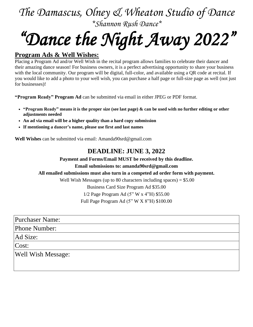# *"Dance the Night Away 2022"*

#### **Program Ads & Well Wishes:**

Placing a Program Ad and/or Well Wish in the recital program allows families to celebrate their dancer and their amazing dance season! For business owners, it is a perfect advertising opportunity to share your business with the local community. Our program will be digital, full-color, and available using a QR code at recital. If you would like to add a photo to your well wish, you can purchase a half page or full-size page as well (not just for businesses)!

**"Program Ready" Program Ad** can be submitted via email in either JPEG or PDF format.

- "Program Ready" means it is the proper size (see last page)  $\&$  can be used with no further editing or other **adjustments needed**
- **An ad via email will be a higher quality than a hard copy submission**
- **If mentioning a dancer's name, please use first and last names**

**Well Wishes** can be submitted via email: Amanda90srd@gmail.com

#### **DEADLINE: JUNE 3, 2022**

**Payment and Forms/Email MUST be received by this deadline.**

**Email submissions to: amanda90srd@gmail.com**

#### **All emailed submissions must also turn in a competed ad order form with payment.**

Well Wish Messages (up to 80 characters including spaces)  $= $5.00$ 

Business Card Size Program Ad \$35.00

1/2 Page Program Ad (5" W x 4"H) \$55.00

Full Page Program Ad (5" W X 8"H) \$100.00

Purchaser Name:

Phone Number:

Ad Size:

Cost:

Well Wish Message: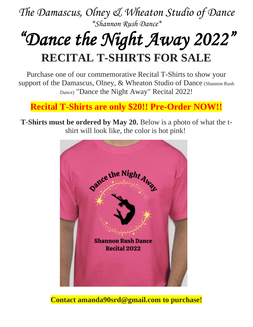## *"Dance the Night Away 2022"*  **RECITAL T-SHIRTS FOR SALE**

Purchase one of our commemorative Recital T-Shirts to show your support of the Damascus, Olney, & Wheaton Studio of Dance (Shannon Rush Dance) "Dance the Night Away" Recital 2022!

#### **Recital T-Shirts are only \$20!! Pre-Order NOW!!**

**T-Shirts must be ordered by May 20.** Below is a photo of what the tshirt will look like, the color is hot pink!



**Contact amanda90srd@gmail.com to purchase!**